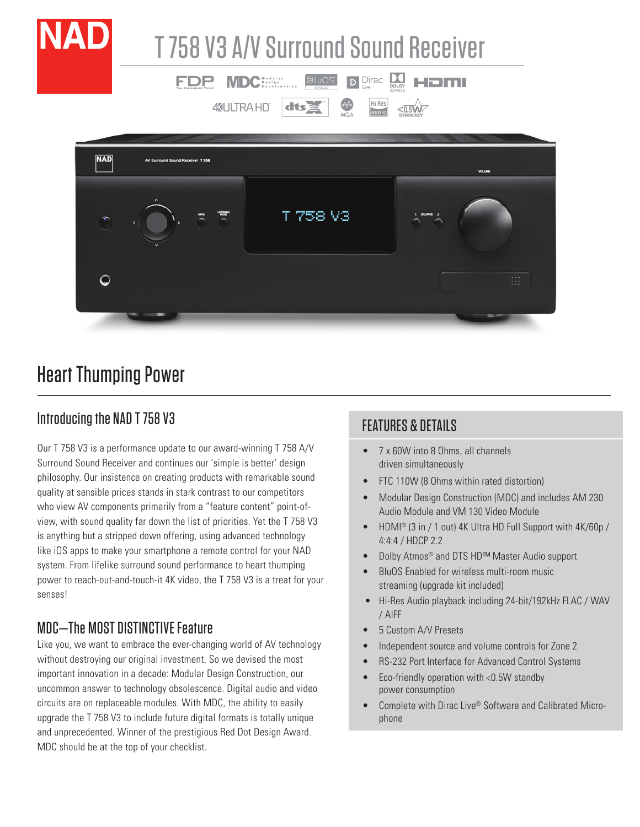

# Heart Thumping Power

#### Introducing the NAD T 758 V3

Our T 758 V3 is a performance update to our award-winning T 758 A/V Surround Sound Receiver and continues our 'simple is better' design philosophy. Our insistence on creating products with remarkable sound quality at sensible prices stands in stark contrast to our competitors who view AV components primarily from a "feature content" point-ofview, with sound quality far down the list of priorities. Yet the T 758 V3 is anything but a stripped down offering, using advanced technology like iOS apps to make your smartphone a remote control for your NAD system. From lifelike surround sound performance to heart thumping power to reach-out-and-touch-it 4K video, the T 758 V3 is a treat for your senses!

#### MDC—The MOST DISTINCTIVE Feature

Like you, we want to embrace the ever-changing world of AV technology without destroying our original investment. So we devised the most important innovation in a decade: Modular Design Construction, our uncommon answer to technology obsolescence. Digital audio and video circuits are on replaceable modules. With MDC, the ability to easily upgrade the T 758 V3 to include future digital formats is totally unique and unprecedented. Winner of the prestigious Red Dot Design Award. MDC should be at the top of your checklist.

#### FEATURES & DETAILS

- 7 x 60W into 8 Ohms, all channels driven simultaneously
- FTC 110W (8 Ohms within rated distortion)
- Modular Design Construction (MDC) and includes AM 230 Audio Module and VM 130 Video Module
- HDMI® (3 in / 1 out) 4K Ultra HD Full Support with 4K/60p / 4:4:4 / HDCP 2.2
- Dolby Atmos<sup>®</sup> and DTS HD™ Master Audio support
- BluOS Enabled for wireless multi-room music streaming (upgrade kit included)
- Hi-Res Audio playback including 24-bit/192kHz FLAC / WAV / AIFF
- 5 Custom A/V Presets
- Independent source and volume controls for Zone 2
- RS-232 Port Interface for Advanced Control Systems
- Eco-friendly operation with <0.5W standby power consumption
- Complete with Dirac Live® Software and Calibrated Microphone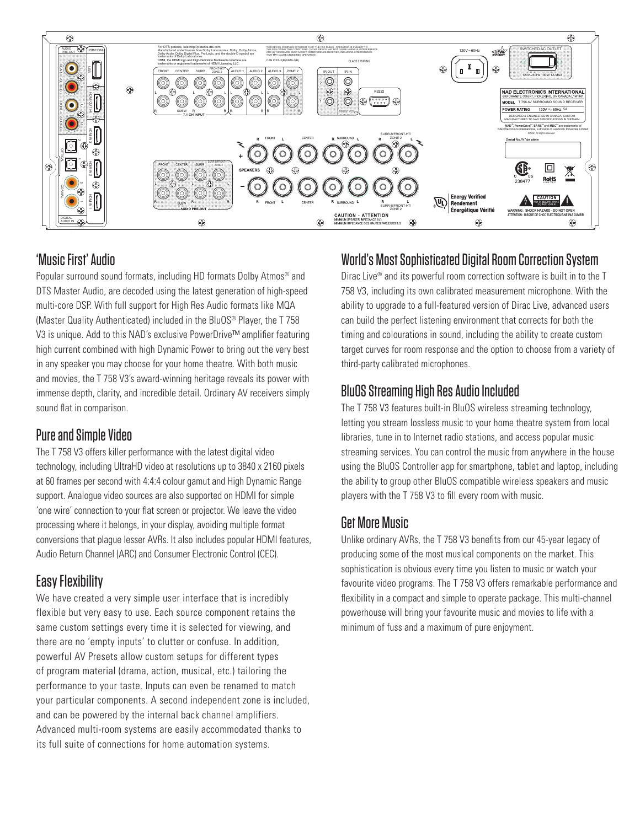

#### 'Music First' Audio

Popular surround sound formats, including HD formats Dolby Atmos<sup>®</sup> and DTS Master Audio, are decoded using the latest generation of high-speed multi-core DSP. With full support for High Res Audio formats like MQA (Master Quality Authenticated) included in the BluOS® Player, the T 758 V3 is unique. Add to this NAD's exclusive PowerDrive™ amplifier featuring high current combined with high Dynamic Power to bring out the very best in any speaker you may choose for your home theatre. With both music and movies, the T 758 V3's award-winning heritage reveals its power with immense depth, clarity, and incredible detail. Ordinary AV receivers simply sound flat in comparison.

#### Pure and Simple Video

The T 758 V3 offers killer performance with the latest digital video technology, including UltraHD video at resolutions up to 3840 x 2160 pixels at 60 frames per second with 4:4:4 colour gamut and High Dynamic Range support. Analogue video sources are also supported on HDMI for simple 'one wire' connection to your flat screen or projector. We leave the video processing where it belongs, in your display, avoiding multiple format conversions that plague lesser AVRs. It also includes popular HDMI features, Audio Return Channel (ARC) and Consumer Electronic Control (CEC).

#### Easy Flexibility

We have created a very simple user interface that is incredibly flexible but very easy to use. Each source component retains the same custom settings every time it is selected for viewing, and there are no 'empty inputs' to clutter or confuse. In addition, powerful AV Presets allow custom setups for different types of program material (drama, action, musical, etc.) tailoring the performance to your taste. Inputs can even be renamed to match your particular components. A second independent zone is included, and can be powered by the internal back channel amplifiers. Advanced multi-room systems are easily accommodated thanks to its full suite of connections for home automation systems.

### World's Most Sophisticated Digital Room Correction System

Dirac Live® and its powerful room correction software is built in to the T 758 V3, including its own calibrated measurement microphone. With the ability to upgrade to a full-featured version of Dirac Live, advanced users can build the perfect listening environment that corrects for both the timing and colourations in sound, including the ability to create custom target curves for room response and the option to choose from a variety of third-party calibrated microphones.

### BluOS Streaming High Res Audio Included

The T 758 V3 features built-in BluOS wireless streaming technology, letting you stream lossless music to your home theatre system from local libraries, tune in to Internet radio stations, and access popular music streaming services. You can control the music from anywhere in the house using the BluOS Controller app for smartphone, tablet and laptop, including the ability to group other BluOS compatible wireless speakers and music players with the T 758 V3 to fill every room with music.

## Get More Music

Unlike ordinary AVRs, the T 758 V3 benefits from our 45-year legacy of producing some of the most musical components on the market. This sophistication is obvious every time you listen to music or watch your favourite video programs. The T 758 V3 offers remarkable performance and flexibility in a compact and simple to operate package. This multi-channel powerhouse will bring your favourite music and movies to life with a minimum of fuss and a maximum of pure enjoyment.